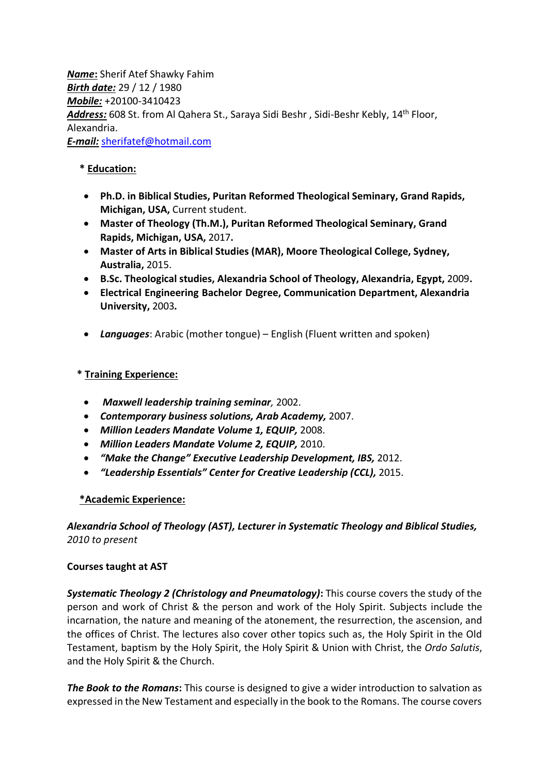*Name***:** Sherif Atef Shawky Fahim *Birth date:* 29 / 12 / 1980 *Mobile:* +20100-3410423 *Address:* 608 St. from Al Qahera St., Saraya Sidi Beshr , Sidi-Beshr Kebly, 14th Floor, Alexandria. *E-mail:* sherifatef@hotmail.com

## **\* Education:**

- **Ph.D. in Biblical Studies, Puritan Reformed Theological Seminary, Grand Rapids, Michigan, USA,** Current student.
- **Master of Theology (Th.M.), Puritan Reformed Theological Seminary, Grand Rapids, Michigan, USA,** 2017**.**
- **Master of Arts in Biblical Studies (MAR), Moore Theological College, Sydney, Australia,** 2015.
- **B.Sc. Theological studies, Alexandria School of Theology, Alexandria, Egypt,** 2009**.**
- **Electrical Engineering Bachelor Degree, Communication Department, Alexandria University,** 2003*.*
- *Languages*: Arabic (mother tongue) English (Fluent written and spoken)

## **\* Training Experience:**

- *Maxwell leadership training seminar,* 2002.
- *Contemporary business solutions, Arab Academy,* 2007.
- *Million Leaders Mandate Volume 1, EQUIP,* 2008.
- *Million Leaders Mandate Volume 2, EQUIP,* 2010.
- *"Make the Change" Executive Leadership Development, IBS,* 2012.
- *"Leadership Essentials" Center for Creative Leadership (CCL),* 2015.

## **\*Academic Experience:**

## *Alexandria School of Theology (AST), Lecturer in Systematic Theology and Biblical Studies, 2010 to present*

## **Courses taught at AST**

*Systematic Theology 2 (Christology and Pneumatology)***:** This course covers the study of the person and work of Christ & the person and work of the Holy Spirit. Subjects include the incarnation, the nature and meaning of the atonement, the resurrection, the ascension, and the offices of Christ. The lectures also cover other topics such as, the Holy Spirit in the Old Testament, baptism by the Holy Spirit, the Holy Spirit & Union with Christ, the *Ordo Salutis*, and the Holy Spirit & the Church.

*The Book to the Romans***:** This course is designed to give a wider introduction to salvation as expressed in the New Testament and especially in the book to the Romans. The course covers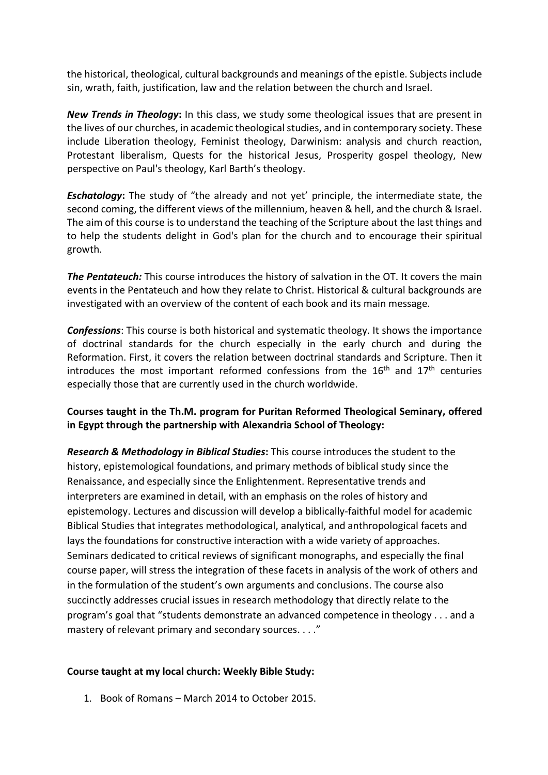the historical, theological, cultural backgrounds and meanings of the epistle. Subjects include sin, wrath, faith, justification, law and the relation between the church and Israel.

*New Trends in Theology***:** In this class, we study some theological issues that are present in the lives of our churches, in academic theological studies, and in contemporary society. These include Liberation theology, Feminist theology, Darwinism: analysis and church reaction, Protestant liberalism, Quests for the historical Jesus, Prosperity gospel theology, New perspective on Paul's theology, Karl Barth's theology.

*Eschatology***:** The study of "the already and not yet' principle, the intermediate state, the second coming, the different views of the millennium, heaven & hell, and the church & Israel. The aim of this course is to understand the teaching of the Scripture about the last things and to help the students delight in God's plan for the church and to encourage their spiritual growth.

*The Pentateuch:* This course introduces the history of salvation in the OT. It covers the main events in the Pentateuch and how they relate to Christ. Historical & cultural backgrounds are investigated with an overview of the content of each book and its main message.

*Confessions*: This course is both historical and systematic theology. It shows the importance of doctrinal standards for the church especially in the early church and during the Reformation. First, it covers the relation between doctrinal standards and Scripture. Then it introduces the most important reformed confessions from the  $16<sup>th</sup>$  and  $17<sup>th</sup>$  centuries especially those that are currently used in the church worldwide.

## **Courses taught in the Th.M. program for Puritan Reformed Theological Seminary, offered in Egypt through the partnership with Alexandria School of Theology:**

*Research & Methodology in Biblical Studies***:** This course introduces the student to the history, epistemological foundations, and primary methods of biblical study since the Renaissance, and especially since the Enlightenment. Representative trends and interpreters are examined in detail, with an emphasis on the roles of history and epistemology. Lectures and discussion will develop a biblically-faithful model for academic Biblical Studies that integrates methodological, analytical, and anthropological facets and lays the foundations for constructive interaction with a wide variety of approaches. Seminars dedicated to critical reviews of significant monographs, and especially the final course paper, will stress the integration of these facets in analysis of the work of others and in the formulation of the student's own arguments and conclusions. The course also succinctly addresses crucial issues in research methodology that directly relate to the program's goal that "students demonstrate an advanced competence in theology . . . and a mastery of relevant primary and secondary sources. . . ."

## **Course taught at my local church: Weekly Bible Study:**

1. Book of Romans – March 2014 to October 2015.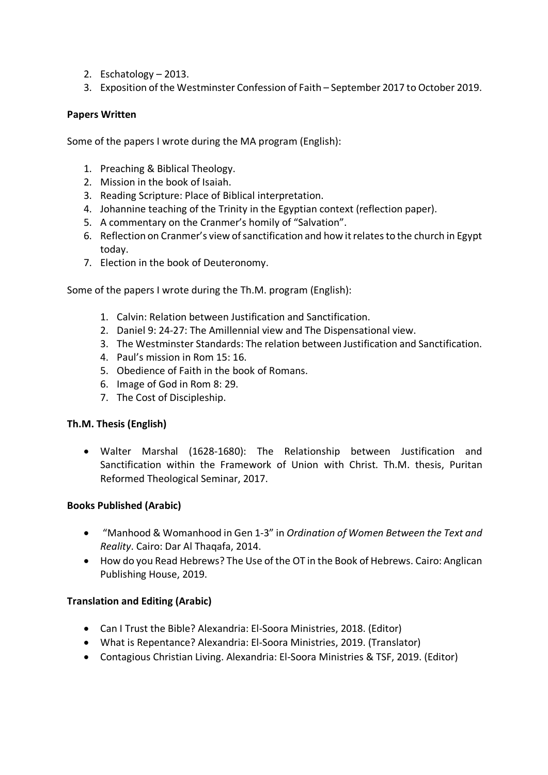- 2. Eschatology 2013.
- 3. Exposition of the Westminster Confession of Faith September 2017 to October 2019.

### **Papers Written**

Some of the papers I wrote during the MA program (English):

- 1. Preaching & Biblical Theology.
- 2. Mission in the book of Isaiah.
- 3. Reading Scripture: Place of Biblical interpretation.
- 4. Johannine teaching of the Trinity in the Egyptian context (reflection paper).
- 5. A commentary on the Cranmer's homily of "Salvation".
- 6. Reflection on Cranmer's view of sanctification and how it relates to the church in Egypt today.
- 7. Election in the book of Deuteronomy.

Some of the papers I wrote during the Th.M. program (English):

- 1. Calvin: Relation between Justification and Sanctification.
- 2. Daniel 9: 24-27: The Amillennial view and The Dispensational view.
- 3. The Westminster Standards: The relation between Justification and Sanctification.
- 4. Paul's mission in Rom 15: 16.
- 5. Obedience of Faith in the book of Romans.
- 6. Image of God in Rom 8: 29.
- 7. The Cost of Discipleship.

#### **Th.M. Thesis (English)**

• Walter Marshal (1628-1680): The Relationship between Justification and Sanctification within the Framework of Union with Christ. Th.M. thesis, Puritan Reformed Theological Seminar, 2017.

## **Books Published (Arabic)**

- "Manhood & Womanhood in Gen 1-3" in *Ordination of Women Between the Text and Reality*. Cairo: Dar Al Thaqafa, 2014.
- How do you Read Hebrews? The Use of the OT in the Book of Hebrews. Cairo: Anglican Publishing House, 2019.

## **Translation and Editing (Arabic)**

- Can I Trust the Bible? Alexandria: El-Soora Ministries, 2018. (Editor)
- What is Repentance? Alexandria: El-Soora Ministries, 2019. (Translator)
- Contagious Christian Living. Alexandria: El-Soora Ministries & TSF, 2019. (Editor)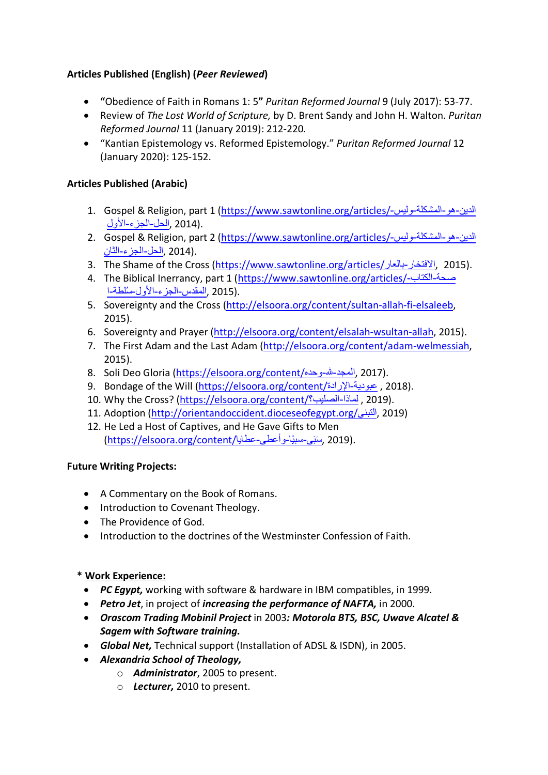# **Articles Published (English) (***Peer Reviewed***)**

- **"**Obedience of Faith in Romans 1: 5**"** *Puritan Reformed Journal* 9 (July 2017): 53-77.
- Review of *The Lost World of Scripture,* by D. Brent Sandy and John H. Walton. *Puritan Reformed Journal* 11 (January 2019): 212-220*.*
- "Kantian Epistemology vs. Reformed Epistemology." *Puritan Reformed Journal* 12 (January 2020): 125-152.

# **Articles Published (Arabic)**

- 1. Gospel & Religion, part 1 (https://www.sawtonline.org/articles/- سیلو ةلكشملا وھ نیدلا .(2014 ,الحل-الجزء-الأول
- 2. Gospel & Religion, part 2 (https://www.sawtonline.org/articles/- سیلو ةلكشملا وھ نیدلا .(2014 ,الحل-الجزء-الثان ,
- 3. The Shame of the Cross (https://www.sawtonline.org/articles/ الافتخار بالعار. 2015).
- 4. The Biblical Inerrancy, part 1 (https://www.sawtonline.org/articles/- باتكلا ةحص .(2015 ,المقدس-الجزء-الأول-سُلطة-ا
- 5. Sovereignty and the Cross (http://elsoora.org/content/sultan-allah-fi-elsaleeb, 2015).
- 6. Sovereignty and Prayer (http://elsoora.org/content/elsalah-wsultan-allah, 2015).
- 7. The First Adam and the Last Adam (http://elsoora.org/content/adam-welmessiah, 2015).
- 8. Soli Deo Gloria (https://elsoora.org/content/المجد-لله-وحده, 2017).
- 9. Bondage of the Will (https://elsoora.org/content/الرادة/3016 9.
- 10. Why the Cross? (https://elsoora.org/content/ ؟بیلصلا اذامل , 2019(.
- 11. Adoption (http://orientandoccident.dioceseofegypt.org/ ينبتلا , 2019(
- 12. He Led a Host of Captives, and He Gave Gifts to Men .(2019 ,سَبَي-سبيًا-و أعطي-عطايا/https://elsoora.org/content)

# **Future Writing Projects:**

- A Commentary on the Book of Romans.
- Introduction to Covenant Theology.
- The Providence of God.
- Introduction to the doctrines of the Westminster Confession of Faith.

# **\* Work Experience:**

- *PC Egypt,* working with software & hardware in IBM compatibles, in 1999.
- *Petro Jet*, in project of *increasing the performance of NAFTA,* in 2000.
- *Orascom Trading Mobinil Project* in 2003*: Motorola BTS, BSC, Uwave Alcatel & Sagem with Software training.*
- *Global Net,* Technical support (Installation of ADSL & ISDN), in 2005.
- *Alexandria School of Theology,* 
	- o *Administrator*, 2005 to present.
	- o *Lecturer,* 2010 to present.